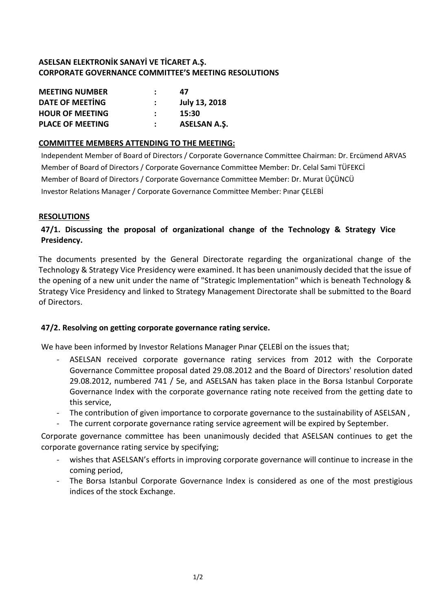## **ASELSAN ELEKTRONİK SANAYİ VE TİCARET A.Ş. CORPORATE GOVERNANCE COMMITTEE'S MEETING RESOLUTIONS**

| <b>MEETING NUMBER</b>   |                      | 47                  |
|-------------------------|----------------------|---------------------|
| <b>DATE OF MEETING</b>  |                      | July 13, 2018       |
| <b>HOUR OF MEETING</b>  | $\ddot{\phantom{a}}$ | 15:30               |
| <b>PLACE OF MEETING</b> |                      | <b>ASELSAN A.S.</b> |

## **COMMITTEE MEMBERS ATTENDING TO THE MEETING:**

Independent Member of Board of Directors / Corporate Governance Committee Chairman: Dr. Ercümend ARVAS Member of Board of Directors / Corporate Governance Committee Member: Dr. Celal Sami TÜFEKCİ Member of Board of Directors / Corporate Governance Committee Member: Dr. Murat ÜÇÜNCÜ Investor Relations Manager / Corporate Governance Committee Member: Pınar ÇELEBİ

## **RESOLUTIONS**

**47/1. Discussing the proposal of organizational change of the Technology & Strategy Vice Presidency.**

The documents presented by the General Directorate regarding the organizational change of the Technology & Strategy Vice Presidency were examined. It has been unanimously decided that the issue of the opening of a new unit under the name of "Strategic Implementation" which is beneath Technology & Strategy Vice Presidency and linked to Strategy Management Directorate shall be submitted to the Board of Directors.

## **47/2. Resolving on getting corporate governance rating service.**

We have been informed by Investor Relations Manager Pınar ÇELEBİ on the issues that;

- ASELSAN received corporate governance rating services from 2012 with the Corporate Governance Committee proposal dated 29.08.2012 and the Board of Directors' resolution dated 29.08.2012, numbered 741 / 5e, and ASELSAN has taken place in the Borsa Istanbul Corporate Governance Index with the corporate governance rating note received from the getting date to this service,
- The contribution of given importance to corporate governance to the sustainability of ASELSAN,
- The current corporate governance rating service agreement will be expired by September.

Corporate governance committee has been unanimously decided that ASELSAN continues to get the corporate governance rating service by specifying;

- wishes that ASELSAN's efforts in improving corporate governance will continue to increase in the coming period,
- The Borsa Istanbul Corporate Governance Index is considered as one of the most prestigious indices of the stock Exchange.